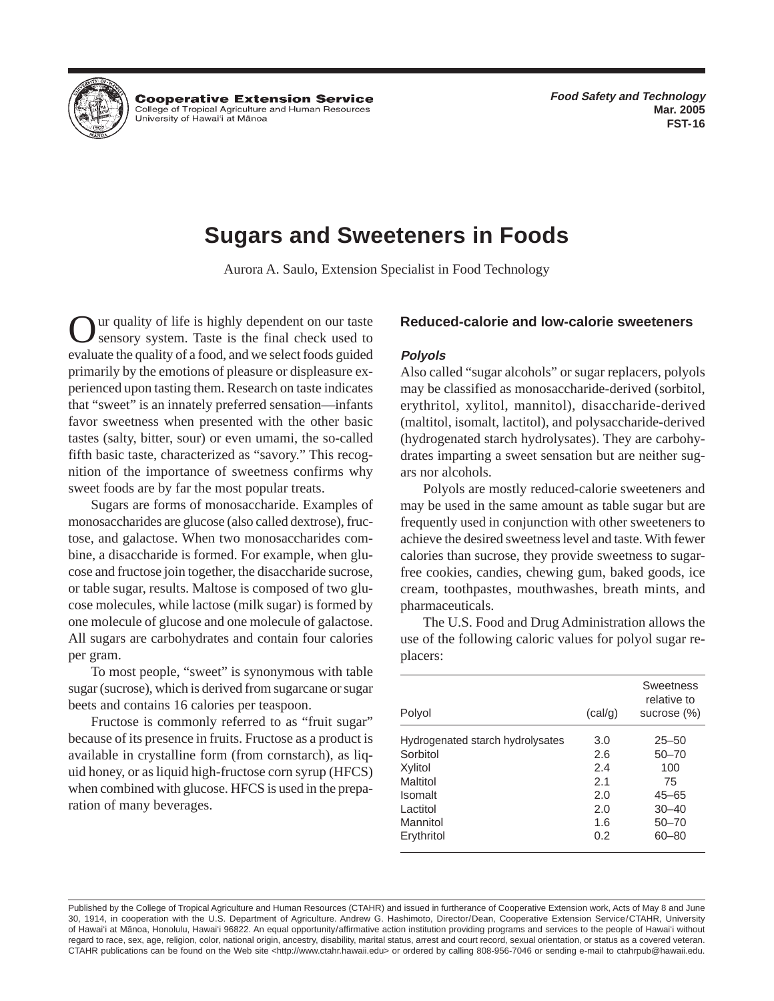

**Cooperative Extension Service** College of Tropical Agriculture and Human Resources University of Hawai'i at Mānoa

# **Sugars and Sweeteners in Foods**

Aurora A. Saulo, Extension Specialist in Food Technology

Our quality of life is highly dependent on our taste sensory system. Taste is the final check used to evaluate the quality of a food, and we select foods guided primarily by the emotions of pleasure or displeasure experienced upon tasting them. Research on taste indicates that "sweet" is an innately preferred sensation—infants favor sweetness when presented with the other basic tastes (salty, bitter, sour) or even umami, the so-called fifth basic taste, characterized as "savory." This recognition of the importance of sweetness confirms why sweet foods are by far the most popular treats.

Sugars are forms of monosaccharide. Examples of monosaccharides are glucose (also called dextrose), fructose, and galactose. When two monosaccharides combine, a disaccharide is formed. For example, when glucose and fructose join together, the disaccharide sucrose, or table sugar, results. Maltose is composed of two glucose molecules, while lactose (milk sugar) is formed by one molecule of glucose and one molecule of galactose. All sugars are carbohydrates and contain four calories per gram.

To most people, "sweet" is synonymous with table sugar (sucrose), which is derived from sugarcane or sugar beets and contains 16 calories per teaspoon.

Fructose is commonly referred to as "fruit sugar" because of its presence in fruits. Fructose as a product is available in crystalline form (from cornstarch), as liquid honey, or as liquid high-fructose corn syrup (HFCS) when combined with glucose. HFCS is used in the preparation of many beverages.

# **Reduced-calorie and low-calorie sweeteners**

# **Polyols**

Also called "sugar alcohols" or sugar replacers, polyols may be classified as monosaccharide-derived (sorbitol, erythritol, xylitol, mannitol), disaccharide-derived (maltitol, isomalt, lactitol), and polysaccharide-derived (hydrogenated starch hydrolysates). They are carbohydrates imparting a sweet sensation but are neither sugars nor alcohols.

Polyols are mostly reduced-calorie sweeteners and may be used in the same amount as table sugar but are frequently used in conjunction with other sweeteners to achieve the desired sweetness level and taste. With fewer calories than sucrose, they provide sweetness to sugarfree cookies, candies, chewing gum, baked goods, ice cream, toothpastes, mouthwashes, breath mints, and pharmaceuticals.

The U.S. Food and Drug Administration allows the use of the following caloric values for polyol sugar replacers:

| Polyol                           | (cal/g) | <b>Sweetness</b><br>relative to<br>sucrose (%) |
|----------------------------------|---------|------------------------------------------------|
| Hydrogenated starch hydrolysates | 3.0     | $25 - 50$                                      |
| Sorbitol                         | 2.6     | $50 - 70$                                      |
| Xylitol                          | 2.4     | 100                                            |
| Maltitol                         | 21      | 75                                             |
| <b>Isomalt</b>                   | 2.0     | 45–65                                          |
| Lactitol                         | 2.0     | $30 - 40$                                      |
| Mannitol                         | 1.6     | $50 - 70$                                      |
| Erythritol                       | 0.2     | 60-80                                          |
|                                  |         |                                                |

Published by the College of Tropical Agriculture and Human Resources (CTAHR) and issued in furtherance of Cooperative Extension work, Acts of May 8 and June 30, 1914, in cooperation with the U.S. Department of Agriculture. Andrew G. Hashimoto, Director/Dean, Cooperative Extension Service/CTAHR, University of Hawai'i at Mänoa, Honolulu, Hawai'i 96822. An equal opportunity/affirmative action institution providing programs and services to the people of Hawai'i without regard to race, sex, age, religion, color, national origin, ancestry, disability, marital status, arrest and court record, sexual orientation, or status as a covered veteran. CTAHR publications can be found on the Web site <http://www.ctahr.hawaii.edu> or ordered by calling 808-956-7046 or sending e-mail to ctahrpub@hawaii.edu.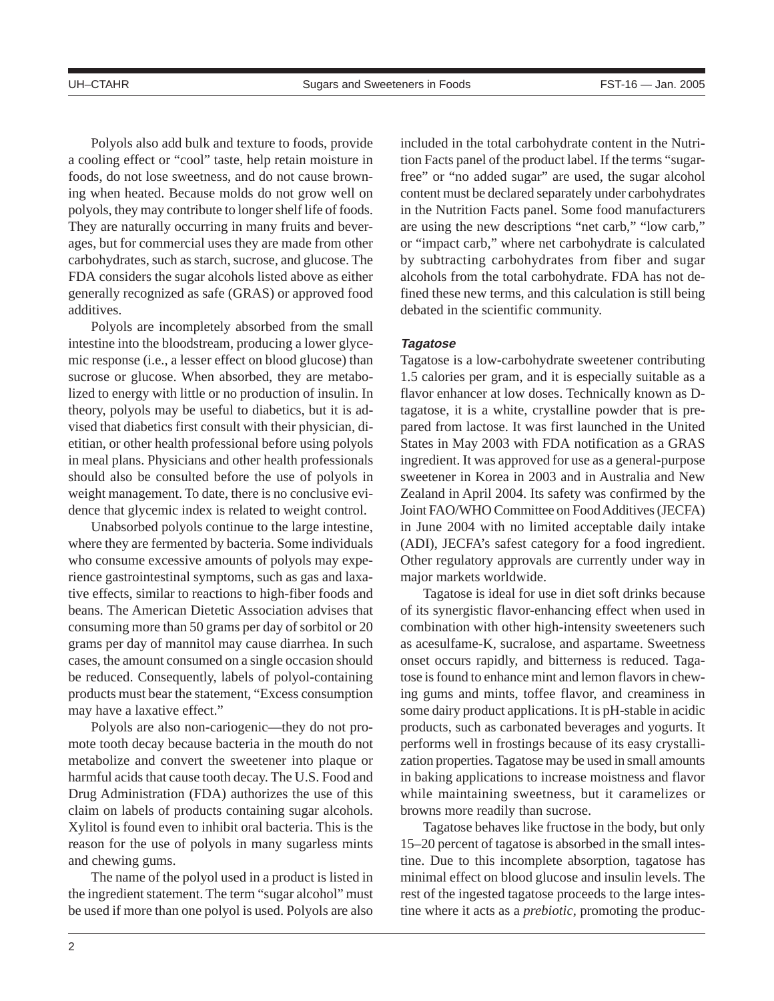Polyols also add bulk and texture to foods, provide a cooling effect or "cool" taste, help retain moisture in foods, do not lose sweetness, and do not cause browning when heated. Because molds do not grow well on polyols, they may contribute to longer shelf life of foods. They are naturally occurring in many fruits and beverages, but for commercial uses they are made from other carbohydrates, such as starch, sucrose, and glucose. The FDA considers the sugar alcohols listed above as either generally recognized as safe (GRAS) or approved food additives.

Polyols are incompletely absorbed from the small intestine into the bloodstream, producing a lower glycemic response (i.e., a lesser effect on blood glucose) than sucrose or glucose. When absorbed, they are metabolized to energy with little or no production of insulin. In theory, polyols may be useful to diabetics, but it is advised that diabetics first consult with their physician, dietitian, or other health professional before using polyols in meal plans. Physicians and other health professionals should also be consulted before the use of polyols in weight management. To date, there is no conclusive evidence that glycemic index is related to weight control.

Unabsorbed polyols continue to the large intestine, where they are fermented by bacteria. Some individuals who consume excessive amounts of polyols may experience gastrointestinal symptoms, such as gas and laxative effects, similar to reactions to high-fiber foods and beans. The American Dietetic Association advises that consuming more than 50 grams per day of sorbitol or 20 grams per day of mannitol may cause diarrhea. In such cases, the amount consumed on a single occasion should be reduced. Consequently, labels of polyol-containing products must bear the statement, "Excess consumption may have a laxative effect."

Polyols are also non-cariogenic—they do not promote tooth decay because bacteria in the mouth do not metabolize and convert the sweetener into plaque or harmful acids that cause tooth decay. The U.S. Food and Drug Administration (FDA) authorizes the use of this claim on labels of products containing sugar alcohols. Xylitol is found even to inhibit oral bacteria. This is the reason for the use of polyols in many sugarless mints and chewing gums.

The name of the polyol used in a product is listed in the ingredient statement. The term "sugar alcohol" must be used if more than one polyol is used. Polyols are also included in the total carbohydrate content in the Nutrition Facts panel of the product label. If the terms "sugarfree" or "no added sugar" are used, the sugar alcohol content must be declared separately under carbohydrates in the Nutrition Facts panel. Some food manufacturers are using the new descriptions "net carb," "low carb," or "impact carb," where net carbohydrate is calculated by subtracting carbohydrates from fiber and sugar alcohols from the total carbohydrate. FDA has not defined these new terms, and this calculation is still being debated in the scientific community.

## **Tagatose**

Tagatose is a low-carbohydrate sweetener contributing 1.5 calories per gram, and it is especially suitable as a flavor enhancer at low doses. Technically known as Dtagatose, it is a white, crystalline powder that is prepared from lactose. It was first launched in the United States in May 2003 with FDA notification as a GRAS ingredient. It was approved for use as a general-purpose sweetener in Korea in 2003 and in Australia and New Zealand in April 2004. Its safety was confirmed by the Joint FAO/WHO Committee on Food Additives (JECFA) in June 2004 with no limited acceptable daily intake (ADI), JECFA's safest category for a food ingredient. Other regulatory approvals are currently under way in major markets worldwide.

Tagatose is ideal for use in diet soft drinks because of its synergistic flavor-enhancing effect when used in combination with other high-intensity sweeteners such as acesulfame-K, sucralose, and aspartame. Sweetness onset occurs rapidly, and bitterness is reduced. Tagatose is found to enhance mint and lemon flavors in chewing gums and mints, toffee flavor, and creaminess in some dairy product applications. It is pH-stable in acidic products, such as carbonated beverages and yogurts. It performs well in frostings because of its easy crystallization properties. Tagatose may be used in small amounts in baking applications to increase moistness and flavor while maintaining sweetness, but it caramelizes or browns more readily than sucrose.

Tagatose behaves like fructose in the body, but only 15–20 percent of tagatose is absorbed in the small intestine. Due to this incomplete absorption, tagatose has minimal effect on blood glucose and insulin levels. The rest of the ingested tagatose proceeds to the large intestine where it acts as a *prebiotic*, promoting the produc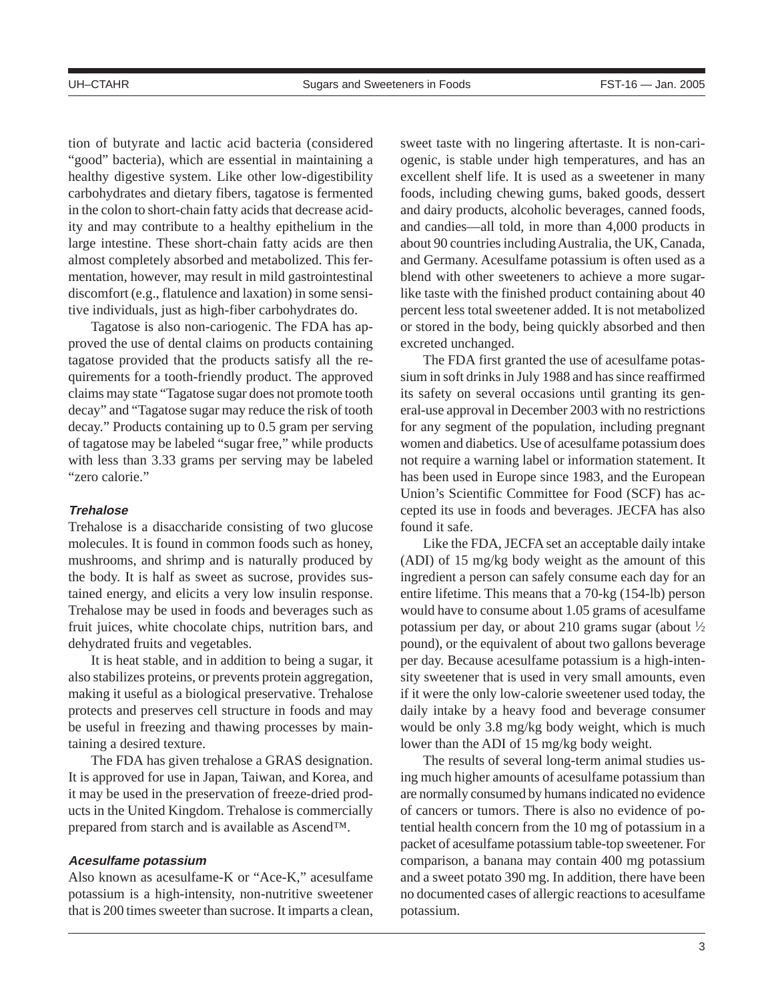tion of butyrate and lactic acid bacteria (considered "good" bacteria), which are essential in maintaining a healthy digestive system. Like other low-digestibility carbohydrates and dietary fibers, tagatose is fermented in the colon to short-chain fatty acids that decrease acidity and may contribute to a healthy epithelium in the large intestine. These short-chain fatty acids are then almost completely absorbed and metabolized. This fermentation, however, may result in mild gastrointestinal discomfort (e.g., flatulence and laxation) in some sensitive individuals, just as high-fiber carbohydrates do.

Tagatose is also non-cariogenic. The FDA has approved the use of dental claims on products containing tagatose provided that the products satisfy all the requirements for a tooth-friendly product. The approved claims may state "Tagatose sugar does not promote tooth decay" and "Tagatose sugar may reduce the risk of tooth decay." Products containing up to 0.5 gram per serving of tagatose may be labeled "sugar free," while products with less than 3.33 grams per serving may be labeled "zero calorie."

## **Trehalose**

Trehalose is a disaccharide consisting of two glucose molecules. It is found in common foods such as honey, mushrooms, and shrimp and is naturally produced by the body. It is half as sweet as sucrose, provides sustained energy, and elicits a very low insulin response. Trehalose may be used in foods and beverages such as fruit juices, white chocolate chips, nutrition bars, and dehydrated fruits and vegetables.

It is heat stable, and in addition to being a sugar, it also stabilizes proteins, or prevents protein aggregation, making it useful as a biological preservative. Trehalose protects and preserves cell structure in foods and may be useful in freezing and thawing processes by maintaining a desired texture.

The FDA has given trehalose a GRAS designation. It is approved for use in Japan, Taiwan, and Korea, and it may be used in the preservation of freeze-dried products in the United Kingdom. Trehalose is commercially prepared from starch and is available as Ascend™.

## **Acesulfame potassium**

Also known as acesulfame-K or "Ace-K," acesulfame potassium is a high-intensity, non-nutritive sweetener that is 200 times sweeter than sucrose. It imparts a clean,

sweet taste with no lingering aftertaste. It is non-cariogenic, is stable under high temperatures, and has an excellent shelf life. It is used as a sweetener in many foods, including chewing gums, baked goods, dessert and dairy products, alcoholic beverages, canned foods, and candies—all told, in more than 4,000 products in about 90 countries including Australia, the UK, Canada, and Germany. Acesulfame potassium is often used as a blend with other sweeteners to achieve a more sugarlike taste with the finished product containing about 40 percent less total sweetener added. It is not metabolized or stored in the body, being quickly absorbed and then excreted unchanged.

The FDA first granted the use of acesulfame potassium in soft drinks in July 1988 and has since reaffirmed its safety on several occasions until granting its general-use approval in December 2003 with no restrictions for any segment of the population, including pregnant women and diabetics. Use of acesulfame potassium does not require a warning label or information statement. It has been used in Europe since 1983, and the European Union's Scientific Committee for Food (SCF) has accepted its use in foods and beverages. JECFA has also found it safe.

Like the FDA, JECFA set an acceptable daily intake (ADI) of 15 mg/kg body weight as the amount of this ingredient a person can safely consume each day for an entire lifetime. This means that a 70-kg (154-lb) person would have to consume about 1.05 grams of acesulfame potassium per day, or about 210 grams sugar (about  $\frac{1}{2}$ ) pound), or the equivalent of about two gallons beverage per day. Because acesulfame potassium is a high-intensity sweetener that is used in very small amounts, even if it were the only low-calorie sweetener used today, the daily intake by a heavy food and beverage consumer would be only 3.8 mg/kg body weight, which is much lower than the ADI of 15 mg/kg body weight.

The results of several long-term animal studies using much higher amounts of acesulfame potassium than are normally consumed by humans indicated no evidence of cancers or tumors. There is also no evidence of potential health concern from the 10 mg of potassium in a packet of acesulfame potassium table-top sweetener. For comparison, a banana may contain 400 mg potassium and a sweet potato 390 mg. In addition, there have been no documented cases of allergic reactions to acesulfame potassium.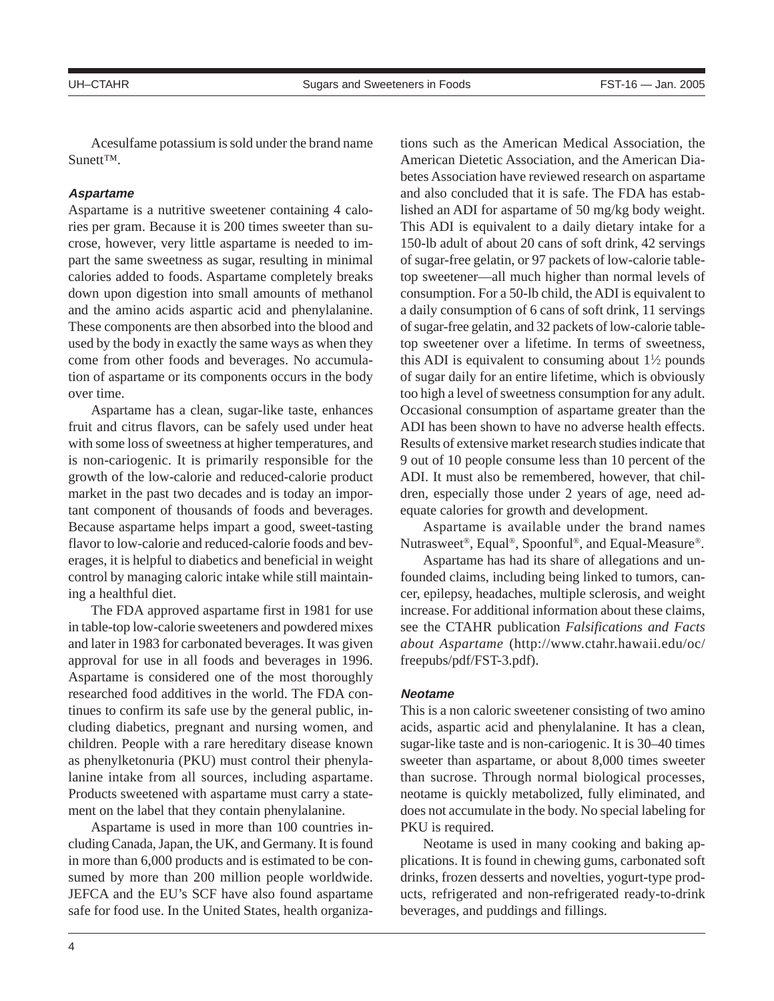Acesulfame potassium is sold under the brand name Sunett™.

# **Aspartame**

Aspartame is a nutritive sweetener containing 4 calories per gram. Because it is 200 times sweeter than sucrose, however, very little aspartame is needed to impart the same sweetness as sugar, resulting in minimal calories added to foods. Aspartame completely breaks down upon digestion into small amounts of methanol and the amino acids aspartic acid and phenylalanine. These components are then absorbed into the blood and used by the body in exactly the same ways as when they come from other foods and beverages. No accumulation of aspartame or its components occurs in the body over time.

Aspartame has a clean, sugar-like taste, enhances fruit and citrus flavors, can be safely used under heat with some loss of sweetness at higher temperatures, and is non-cariogenic. It is primarily responsible for the growth of the low-calorie and reduced-calorie product market in the past two decades and is today an important component of thousands of foods and beverages. Because aspartame helps impart a good, sweet-tasting flavor to low-calorie and reduced-calorie foods and beverages, it is helpful to diabetics and beneficial in weight control by managing caloric intake while still maintaining a healthful diet.

The FDA approved aspartame first in 1981 for use in table-top low-calorie sweeteners and powdered mixes and later in 1983 for carbonated beverages. It was given approval for use in all foods and beverages in 1996. Aspartame is considered one of the most thoroughly researched food additives in the world. The FDA continues to confirm its safe use by the general public, including diabetics, pregnant and nursing women, and children. People with a rare hereditary disease known as phenylketonuria (PKU) must control their phenylalanine intake from all sources, including aspartame. Products sweetened with aspartame must carry a statement on the label that they contain phenylalanine.

Aspartame is used in more than 100 countries including Canada, Japan, the UK, and Germany. It is found in more than 6,000 products and is estimated to be consumed by more than 200 million people worldwide. JEFCA and the EU's SCF have also found aspartame safe for food use. In the United States, health organizations such as the American Medical Association, the American Dietetic Association, and the American Diabetes Association have reviewed research on aspartame and also concluded that it is safe. The FDA has established an ADI for aspartame of 50 mg/kg body weight. This ADI is equivalent to a daily dietary intake for a 150-lb adult of about 20 cans of soft drink, 42 servings of sugar-free gelatin, or 97 packets of low-calorie tabletop sweetener—all much higher than normal levels of consumption. For a 50-lb child, the ADI is equivalent to a daily consumption of 6 cans of soft drink, 11 servings of sugar-free gelatin, and 32 packets of low-calorie tabletop sweetener over a lifetime. In terms of sweetness, this ADI is equivalent to consuming about  $1\frac{1}{2}$  pounds of sugar daily for an entire lifetime, which is obviously too high a level of sweetness consumption for any adult. Occasional consumption of aspartame greater than the ADI has been shown to have no adverse health effects. Results of extensive market research studies indicate that 9 out of 10 people consume less than 10 percent of the ADI. It must also be remembered, however, that children, especially those under 2 years of age, need adequate calories for growth and development.

Aspartame is available under the brand names Nutrasweet®, Equal®, Spoonful®, and Equal-Measure®.

Aspartame has had its share of allegations and unfounded claims, including being linked to tumors, cancer, epilepsy, headaches, multiple sclerosis, and weight increase. For additional information about these claims, see the CTAHR publication *Falsifications and Facts about Aspartame* (http://www.ctahr.hawaii.edu/oc/ freepubs/pdf/FST-3.pdf).

## **Neotame**

This is a non caloric sweetener consisting of two amino acids, aspartic acid and phenylalanine. It has a clean, sugar-like taste and is non-cariogenic. It is 30–40 times sweeter than aspartame, or about 8,000 times sweeter than sucrose. Through normal biological processes, neotame is quickly metabolized, fully eliminated, and does not accumulate in the body. No special labeling for PKU is required.

Neotame is used in many cooking and baking applications. It is found in chewing gums, carbonated soft drinks, frozen desserts and novelties, yogurt-type products, refrigerated and non-refrigerated ready-to-drink beverages, and puddings and fillings.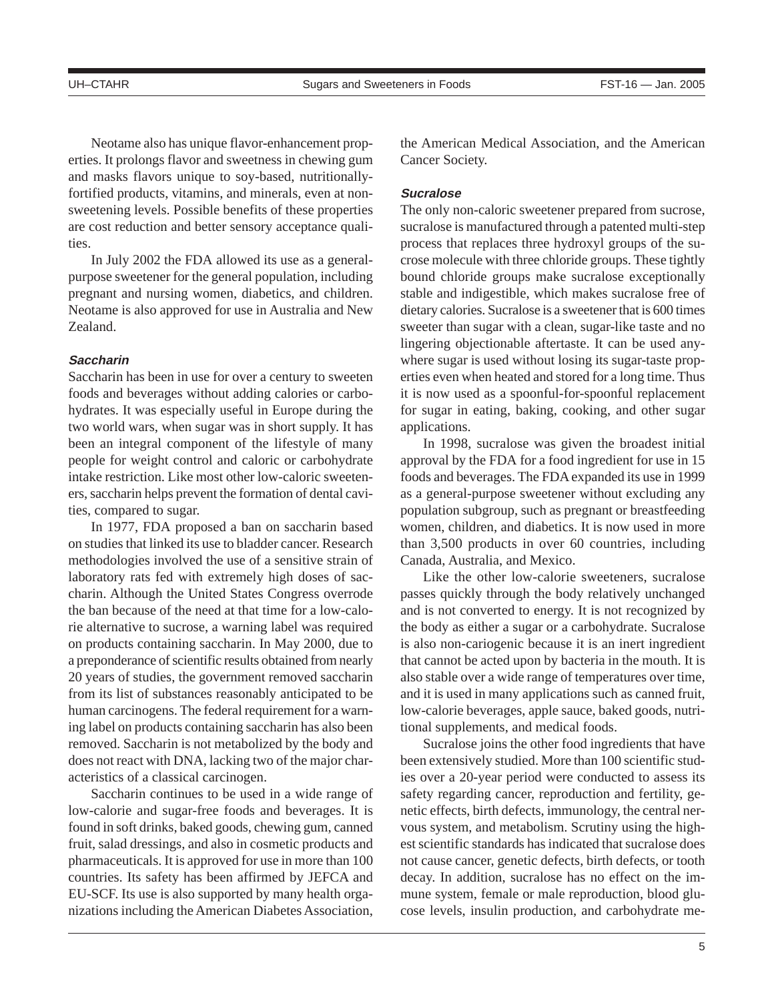Neotame also has unique flavor-enhancement properties. It prolongs flavor and sweetness in chewing gum and masks flavors unique to soy-based, nutritionallyfortified products, vitamins, and minerals, even at nonsweetening levels. Possible benefits of these properties are cost reduction and better sensory acceptance qualities.

In July 2002 the FDA allowed its use as a generalpurpose sweetener for the general population, including pregnant and nursing women, diabetics, and children. Neotame is also approved for use in Australia and New Zealand.

#### **Saccharin**

Saccharin has been in use for over a century to sweeten foods and beverages without adding calories or carbohydrates. It was especially useful in Europe during the two world wars, when sugar was in short supply. It has been an integral component of the lifestyle of many people for weight control and caloric or carbohydrate intake restriction. Like most other low-caloric sweeteners, saccharin helps prevent the formation of dental cavities, compared to sugar.

In 1977, FDA proposed a ban on saccharin based on studies that linked its use to bladder cancer. Research methodologies involved the use of a sensitive strain of laboratory rats fed with extremely high doses of saccharin. Although the United States Congress overrode the ban because of the need at that time for a low-calorie alternative to sucrose, a warning label was required on products containing saccharin. In May 2000, due to a preponderance of scientific results obtained from nearly 20 years of studies, the government removed saccharin from its list of substances reasonably anticipated to be human carcinogens. The federal requirement for a warning label on products containing saccharin has also been removed. Saccharin is not metabolized by the body and does not react with DNA, lacking two of the major characteristics of a classical carcinogen.

Saccharin continues to be used in a wide range of low-calorie and sugar-free foods and beverages. It is found in soft drinks, baked goods, chewing gum, canned fruit, salad dressings, and also in cosmetic products and pharmaceuticals. It is approved for use in more than 100 countries. Its safety has been affirmed by JEFCA and EU-SCF. Its use is also supported by many health organizations including the American Diabetes Association, the American Medical Association, and the American Cancer Society.

# **Sucralose**

The only non-caloric sweetener prepared from sucrose, sucralose is manufactured through a patented multi-step process that replaces three hydroxyl groups of the sucrose molecule with three chloride groups. These tightly bound chloride groups make sucralose exceptionally stable and indigestible, which makes sucralose free of dietary calories. Sucralose is a sweetener that is 600 times sweeter than sugar with a clean, sugar-like taste and no lingering objectionable aftertaste. It can be used anywhere sugar is used without losing its sugar-taste properties even when heated and stored for a long time. Thus it is now used as a spoonful-for-spoonful replacement for sugar in eating, baking, cooking, and other sugar applications.

In 1998, sucralose was given the broadest initial approval by the FDA for a food ingredient for use in 15 foods and beverages. The FDA expanded its use in 1999 as a general-purpose sweetener without excluding any population subgroup, such as pregnant or breastfeeding women, children, and diabetics. It is now used in more than 3,500 products in over 60 countries, including Canada, Australia, and Mexico.

Like the other low-calorie sweeteners, sucralose passes quickly through the body relatively unchanged and is not converted to energy. It is not recognized by the body as either a sugar or a carbohydrate. Sucralose is also non-cariogenic because it is an inert ingredient that cannot be acted upon by bacteria in the mouth. It is also stable over a wide range of temperatures over time, and it is used in many applications such as canned fruit, low-calorie beverages, apple sauce, baked goods, nutritional supplements, and medical foods.

Sucralose joins the other food ingredients that have been extensively studied. More than 100 scientific studies over a 20-year period were conducted to assess its safety regarding cancer, reproduction and fertility, genetic effects, birth defects, immunology, the central nervous system, and metabolism. Scrutiny using the highest scientific standards has indicated that sucralose does not cause cancer, genetic defects, birth defects, or tooth decay. In addition, sucralose has no effect on the immune system, female or male reproduction, blood glucose levels, insulin production, and carbohydrate me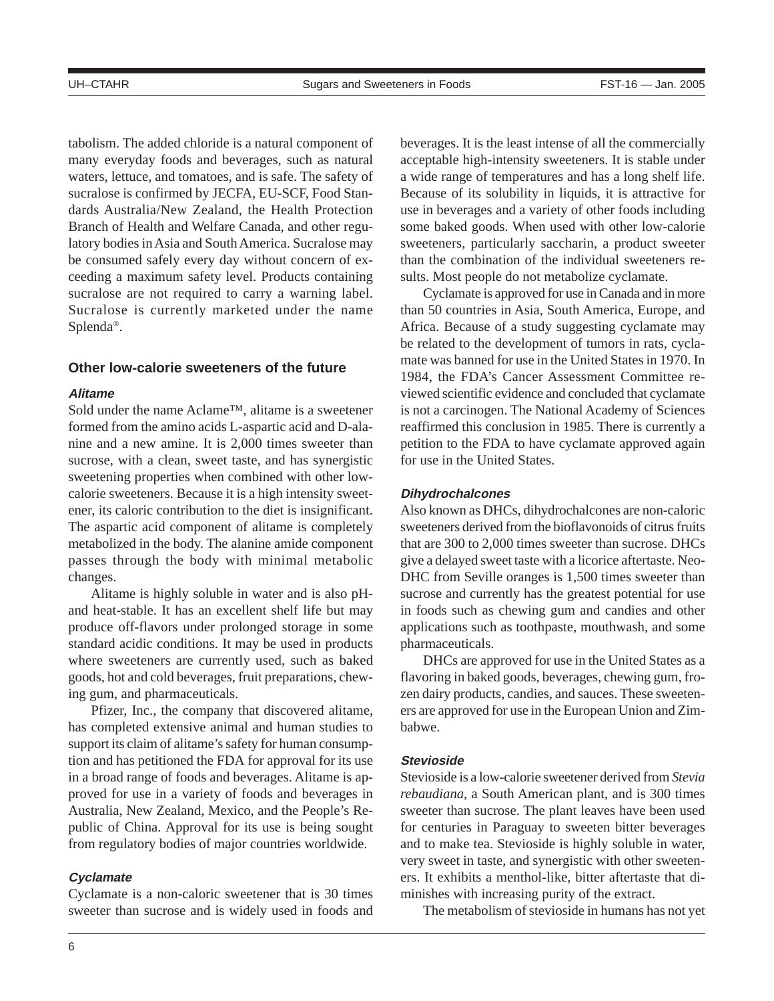tabolism. The added chloride is a natural component of many everyday foods and beverages, such as natural waters, lettuce, and tomatoes, and is safe. The safety of sucralose is confirmed by JECFA, EU-SCF, Food Standards Australia/New Zealand, the Health Protection Branch of Health and Welfare Canada, and other regulatory bodies in Asia and South America. Sucralose may be consumed safely every day without concern of exceeding a maximum safety level. Products containing sucralose are not required to carry a warning label. Sucralose is currently marketed under the name Splenda®.

# **Other low-calorie sweeteners of the future**

## **Alitame**

Sold under the name Aclame™, alitame is a sweetener formed from the amino acids L-aspartic acid and D-alanine and a new amine. It is 2,000 times sweeter than sucrose, with a clean, sweet taste, and has synergistic sweetening properties when combined with other lowcalorie sweeteners. Because it is a high intensity sweetener, its caloric contribution to the diet is insignificant. The aspartic acid component of alitame is completely metabolized in the body. The alanine amide component passes through the body with minimal metabolic changes.

Alitame is highly soluble in water and is also pHand heat-stable. It has an excellent shelf life but may produce off-flavors under prolonged storage in some standard acidic conditions. It may be used in products where sweeteners are currently used, such as baked goods, hot and cold beverages, fruit preparations, chewing gum, and pharmaceuticals.

Pfizer, Inc., the company that discovered alitame, has completed extensive animal and human studies to support its claim of alitame's safety for human consumption and has petitioned the FDA for approval for its use in a broad range of foods and beverages. Alitame is approved for use in a variety of foods and beverages in Australia, New Zealand, Mexico, and the People's Republic of China. Approval for its use is being sought from regulatory bodies of major countries worldwide.

# **Cyclamate**

Cyclamate is a non-caloric sweetener that is 30 times sweeter than sucrose and is widely used in foods and beverages. It is the least intense of all the commercially acceptable high-intensity sweeteners. It is stable under a wide range of temperatures and has a long shelf life. Because of its solubility in liquids, it is attractive for use in beverages and a variety of other foods including some baked goods. When used with other low-calorie sweeteners, particularly saccharin, a product sweeter than the combination of the individual sweeteners results. Most people do not metabolize cyclamate.

Cyclamate is approved for use in Canada and in more than 50 countries in Asia, South America, Europe, and Africa. Because of a study suggesting cyclamate may be related to the development of tumors in rats, cyclamate was banned for use in the United States in 1970. In 1984, the FDA's Cancer Assessment Committee reviewed scientific evidence and concluded that cyclamate is not a carcinogen. The National Academy of Sciences reaffirmed this conclusion in 1985. There is currently a petition to the FDA to have cyclamate approved again for use in the United States.

#### **Dihydrochalcones**

Also known as DHCs, dihydrochalcones are non-caloric sweeteners derived from the bioflavonoids of citrus fruits that are 300 to 2,000 times sweeter than sucrose. DHCs give a delayed sweet taste with a licorice aftertaste. Neo-DHC from Seville oranges is 1,500 times sweeter than sucrose and currently has the greatest potential for use in foods such as chewing gum and candies and other applications such as toothpaste, mouthwash, and some pharmaceuticals.

DHCs are approved for use in the United States as a flavoring in baked goods, beverages, chewing gum, frozen dairy products, candies, and sauces. These sweeteners are approved for use in the European Union and Zimbabwe.

## **Stevioside**

Stevioside is a low-calorie sweetener derived from *Stevia rebaudiana*, a South American plant, and is 300 times sweeter than sucrose. The plant leaves have been used for centuries in Paraguay to sweeten bitter beverages and to make tea. Stevioside is highly soluble in water, very sweet in taste, and synergistic with other sweeteners. It exhibits a menthol-like, bitter aftertaste that diminishes with increasing purity of the extract.

The metabolism of stevioside in humans has not yet